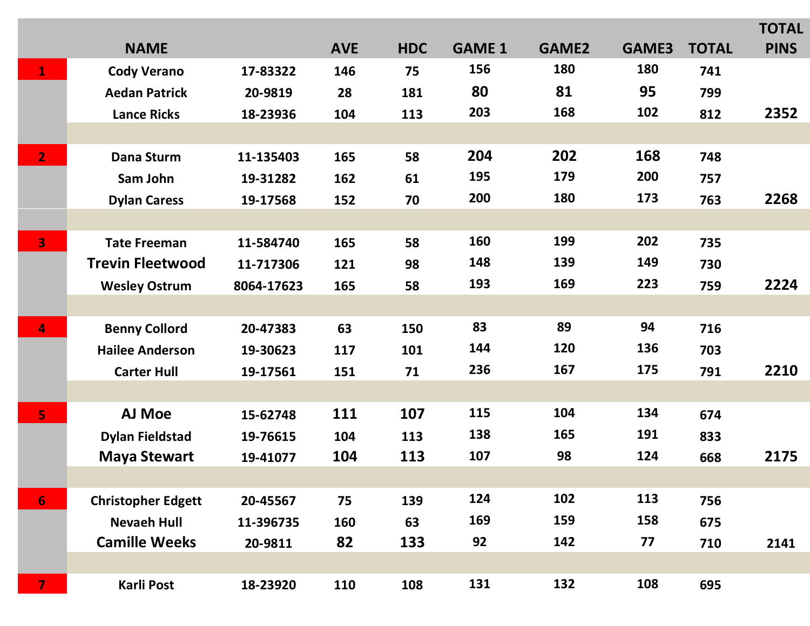|                |                           |            |            |            |               |              |       |              | <b>TOTAL</b> |
|----------------|---------------------------|------------|------------|------------|---------------|--------------|-------|--------------|--------------|
|                | <b>NAME</b>               |            | <b>AVE</b> | <b>HDC</b> | <b>GAME 1</b> | <b>GAME2</b> | GAME3 | <b>TOTAL</b> | <b>PINS</b>  |
| $\overline{1}$ | <b>Cody Verano</b>        | 17-83322   | 146        | 75         | 156           | 180          | 180   | 741          |              |
|                | <b>Aedan Patrick</b>      | 20-9819    | 28         | 181        | 80            | 81           | 95    | 799          |              |
|                | <b>Lance Ricks</b>        | 18-23936   | 104        | 113        | 203           | 168          | 102   | 812          | 2352         |
|                |                           |            |            |            |               |              |       |              |              |
| $\overline{2}$ | <b>Dana Sturm</b>         | 11-135403  | 165        | 58         | 204           | 202          | 168   | 748          |              |
|                | Sam John                  | 19-31282   | 162        | 61         | 195           | 179          | 200   | 757          |              |
|                | <b>Dylan Caress</b>       | 19-17568   | 152        | 70         | 200           | 180          | 173   | 763          | 2268         |
|                |                           |            |            |            |               |              |       |              |              |
| 3              | <b>Tate Freeman</b>       | 11-584740  | 165        | 58         | 160           | 199          | 202   | 735          |              |
|                | <b>Trevin Fleetwood</b>   | 11-717306  | 121        | 98         | 148           | 139          | 149   | 730          |              |
|                | <b>Wesley Ostrum</b>      | 8064-17623 | 165        | 58         | 193           | 169          | 223   | 759          | 2224         |
|                |                           |            |            |            |               |              |       |              |              |
| 4              | <b>Benny Collord</b>      | 20-47383   | 63         | 150        | 83            | 89           | 94    | 716          |              |
|                | <b>Hailee Anderson</b>    | 19-30623   | 117        | 101        | 144           | 120          | 136   | 703          |              |
|                | <b>Carter Hull</b>        | 19-17561   | 151        | 71         | 236           | 167          | 175   | 791          | 2210         |
|                |                           |            |            |            |               |              |       |              |              |
| 5              | <b>AJ Moe</b>             | 15-62748   | 111        | 107        | 115           | 104          | 134   | 674          |              |
|                | <b>Dylan Fieldstad</b>    | 19-76615   | 104        | 113        | 138           | 165          | 191   | 833          |              |
|                | <b>Maya Stewart</b>       | 19-41077   | 104        | 113        | 107           | 98           | 124   | 668          | 2175         |
|                |                           |            |            |            |               |              |       |              |              |
| 6 <sup>1</sup> | <b>Christopher Edgett</b> | 20-45567   | 75         | 139        | 124           | 102          | 113   | 756          |              |
|                | <b>Nevaeh Hull</b>        | 11-396735  | 160        | 63         | 169           | 159          | 158   | 675          |              |
|                | <b>Camille Weeks</b>      | 20-9811    | 82         | 133        | 92            | 142          | 77    | 710          | 2141         |
|                |                           |            |            |            |               |              |       |              |              |
| $\overline{7}$ | Karli Post                | 18-23920   | 110        | 108        | 131           | 132          | 108   | 695          |              |